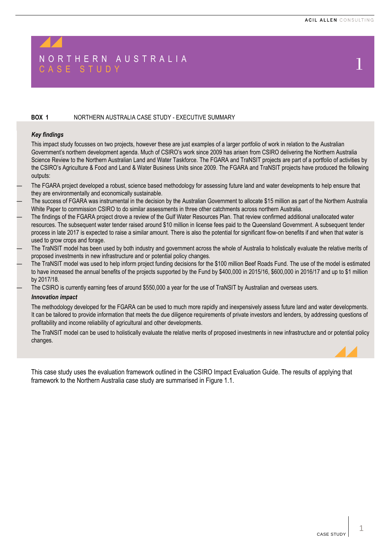# N O R T H E R N A U S T R A L I A N A U S T R A L I A N A U S T C A S E S T U D Y  $1$

#### **BOX 1** NORTHERN AUSTRALIA CASE STUDY - EXECUTIVE SUMMARY

#### *Key findings*

This impact study focusses on two projects, however these are just examples of a larger portfolio of work in relation to the Australian Government's northern development agenda. Much of CSIRO's work since 2009 has arisen from CSIRO delivering the Northern Australia Science Review to the Northern Australian Land and Water Taskforce. The FGARA and TraNSIT projects are part of a portfolio of activities by the CSIRO's Agriculture & Food and Land & Water Business Units since 2009. The FGARA and TraNSIT projects have produced the following outputs:

- The FGARA project developed a robust, science based methodology for assessing future land and water developments to help ensure that they are environmentally and economically sustainable.
- The success of FGARA was instrumental in the decision by the Australian Government to allocate \$15 million as part of the Northern Australia White Paper to commission CSIRO to do similar assessments in three other catchments across northern Australia.
- The findings of the FGARA project drove a review of the Gulf Water Resources Plan. That review confirmed additional unallocated water resources. The subsequent water tender raised around \$10 million in license fees paid to the Queensland Government. A subsequent tender process in late 2017 is expected to raise a similar amount. There is also the potential for significant flow-on benefits if and when that water is used to grow crops and forage.
- The TraNSIT model has been used by both industry and government across the whole of Australia to holistically evaluate the relative merits of proposed investments in new infrastructure and or potential policy changes.
- The TraNSIT model was used to help inform project funding decisions for the \$100 million Beef Roads Fund. The use of the model is estimated to have increased the annual benefits of the projects supported by the Fund by \$400,000 in 2015/16, \$600,000 in 2016/17 and up to \$1 million by 2017/18.
- The CSIRO is currently earning fees of around \$550,000 a year for the use of TraNSIT by Australian and overseas users.

#### *Innovation impact*

The methodology developed for the FGARA can be used to much more rapidly and inexpensively assess future land and water developments. It can be tailored to provide information that meets the due diligence requirements of private investors and lenders, by addressing questions of profitability and income reliability of agricultural and other developments.

The TraNSIT model can be used to holistically evaluate the relative merits of proposed investments in new infrastructure and or potential policy changes.

This case study uses the evaluation framework outlined in the CSIRO Impact Evaluation Guide. The results of applying that framework to the Northern Australia case study are summarised in Figure 1.1.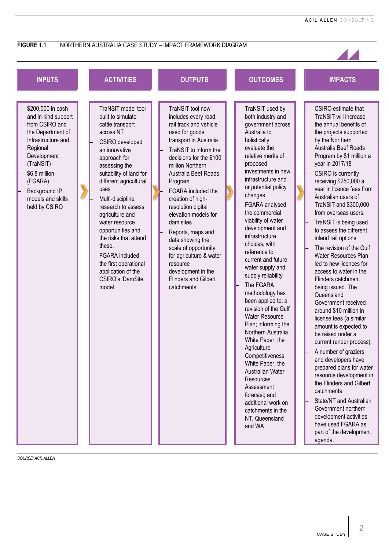

*SOURCE: ACIL ALLEN*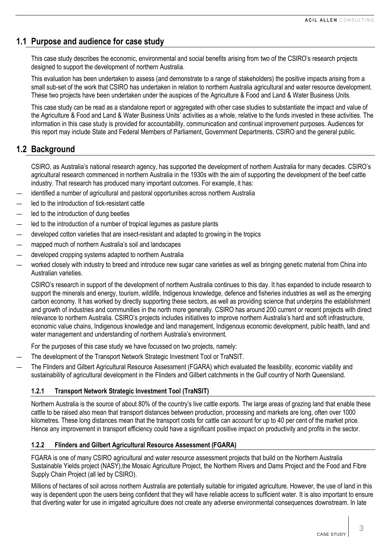# **1.1 Purpose and audience for case study**

This case study describes the economic, environmental and social benefits arising from two of the CSIRO's research projects designed to support the development of northern Australia.

This evaluation has been undertaken to assess (and demonstrate to a range of stakeholders) the positive impacts arising from a small sub-set of the work that CSIRO has undertaken in relation to northern Australia agricultural and water resource development. These two projects have been undertaken under the auspices of the Agriculture & Food and Land & Water Business Units.

This case study can be read as a standalone report or aggregated with other case studies to substantiate the impact and value of the Agriculture & Food and Land & Water Business Units' activities as a whole, relative to the funds invested in these activities. The information in this case study is provided for accountability, communication and continual improvement purposes. Audiences for this report may include State and Federal Members of Parliament, Government Departments, CSIRO and the general public.

# **1.2 Background**

CSIRO, as Australia's national research agency, has supported the development of northern Australia for many decades. CSIRO's agricultural research commenced in northern Australia in the 1930s with the aim of supporting the development of the beef cattle industry. That research has produced many important outcomes. For example, it has:

- identified a number of agricultural and pastoral opportunities across northern Australia
- led to the introduction of tick-resistant cattle
- led to the introduction of dung beetles
- led to the introduction of a number of tropical legumes as pasture plants
- developed cotton varieties that are insect-resistant and adapted to growing in the tropics
- mapped much of northern Australia's soil and landscapes
- developed cropping systems adapted to northern Australia
- worked closely with industry to breed and introduce new sugar cane varieties as well as bringing genetic material from China into Australian varieties.

CSIRO's research in support of the development of northern Australia continues to this day. It has expanded to include research to support the minerals and energy, tourism, wildlife, Indigenous knowledge, defence and fisheries industries as well as the emerging carbon economy. It has worked by directly supporting these sectors, as well as providing science that underpins the establishment and growth of industries and communities in the north more generally. CSIRO has around 200 current or recent projects with direct relevance to northern Australia. CSIRO's projects includes initiatives to improve northern Australia's hard and soft infrastructure, economic value chains, Indigenous knowledge and land management, Indigenous economic development, public health, land and water management and understanding of northern Australia's environment.

For the purposes of this case study we have focussed on two projects, namely:

- The development of the Transport Network Strategic Investment Tool or TraNSIT.
- The Flinders and Gilbert Agricultural Resource Assessment (FGARA) which evaluated the feasibility, economic viability and sustainability of agricultural development in the Flinders and Gilbert catchments in the Gulf country of North Queensland.

# **1.2.1 Transport Network Strategic Investment Tool (TraNSIT)**

Northern Australia is the source of about 80% of the country's live cattle exports. The large areas of grazing land that enable these cattle to be raised also mean that transport distances between production, processing and markets are long, often over 1000 kilometres. These long distances mean that the transport costs for cattle can account for up to 40 per cent of the market price. Hence any improvement in transport efficiency could have a significant positive impact on productivity and profits in the sector.

# **1.2.2 Flinders and Gilbert Agricultural Resource Assessment (FGARA)**

FGARA is one of many CSIRO agricultural and water resource assessment projects that build on the Northern Australia Sustainable Yields project (NASY),the Mosaic Agriculture Project, the Northern Rivers and Dams Project and the Food and Fibre Supply Chain Project (all led by CSIRO).

Millions of hectares of soil across northern Australia are potentially suitable for irrigated agriculture. However, the use of land in this way is dependent upon the users being confident that they will have reliable access to sufficient water. It is also important to ensure that diverting water for use in irrigated agriculture does not create any adverse environmental consequences downstream. In late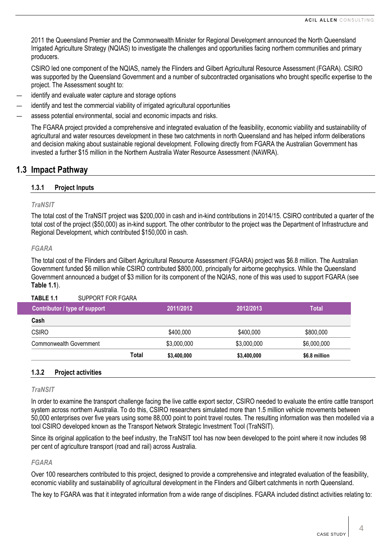2011 the Queensland Premier and the Commonwealth Minister for Regional Development announced the North Queensland Irrigated Agriculture Strategy (NQIAS) to investigate the challenges and opportunities facing northern communities and primary producers.

CSIRO led one component of the NQIAS, namely the Flinders and Gilbert Agricultural Resource Assessment (FGARA). CSIRO was supported by the Queensland Government and a number of subcontracted organisations who brought specific expertise to the project. The Assessment sought to:

- identify and evaluate water capture and storage options
- identify and test the commercial viability of irrigated agricultural opportunities
- assess potential environmental, social and economic impacts and risks.

The FGARA project provided a comprehensive and integrated evaluation of the feasibility, economic viability and sustainability of agricultural and water resources development in these two catchments in north Queensland and has helped inform deliberations and decision making about sustainable regional development. Following directly from FGARA the Australian Government has invested a further \$15 million in the Northern Australia Water Resource Assessment (NAWRA).

# **1.3 Impact Pathway**

## **1.3.1 Project Inputs**

#### *TraNSIT*

The total cost of the TraNSIT project was \$200,000 in cash and in-kind contributions in 2014/15. CSIRO contributed a quarter of the total cost of the project (\$50,000) as in-kind support. The other contributor to the project was the Department of Infrastructure and Regional Development, which contributed \$150,000 in cash.

#### *FGARA*

The total cost of the Flinders and Gilbert Agricultural Resource Assessment (FGARA) project was \$6.8 million. The Australian Government funded \$6 million while CSIRO contributed \$800,000, principally for airborne geophysics. While the Queensland Government announced a budget of \$3 million for its component of the NQIAS, none of this was used to support FGARA (see **[Table](#page-3-0) 1.1**).

# <span id="page-3-0"></span>**TABLE 1.1** SUPPORT FOR FGARA

| Contributor / type of support |       | 2011/2012   | 2012/2013   | Total         |
|-------------------------------|-------|-------------|-------------|---------------|
| Cash                          |       |             |             |               |
| <b>CSIRO</b>                  |       | \$400,000   | \$400,000   | \$800,000     |
| Commonwealth Government       |       | \$3,000,000 | \$3,000,000 | \$6,000,000   |
|                               | Total | \$3,400,000 | \$3,400,000 | \$6.8 million |

#### **1.3.2 Project activities**

#### *TraNSIT*

In order to examine the transport challenge facing the live cattle export sector, CSIRO needed to evaluate the entire cattle transport system across northern Australia. To do this, CSIRO researchers simulated more than 1.5 million vehicle movements between 50,000 enterprises over five years using some 88,000 point to point travel routes. The resulting information was then modelled via a tool CSIRO developed known as the Transport Network Strategic Investment Tool (TraNSIT).

Since its original application to the beef industry, the TraNSIT tool has now been developed to the point where it now includes 98 per cent of agriculture transport (road and rail) across Australia.

#### *FGARA*

Over 100 researchers contributed to this project, designed to provide a comprehensive and integrated evaluation of the feasibility, economic viability and sustainability of agricultural development in the Flinders and Gilbert catchments in north Queensland.

The key to FGARA was that it integrated information from a wide range of disciplines. FGARA included distinct activities relating to: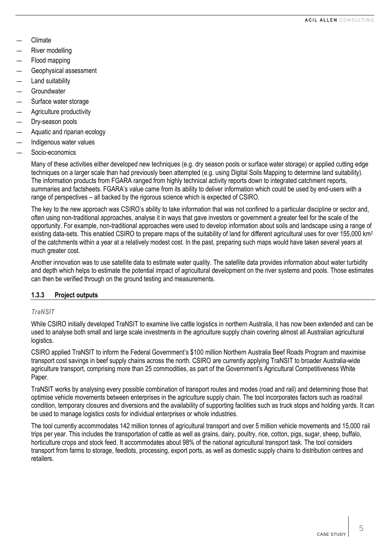- Climate
- River modelling
- Flood mapping
- Geophysical assessment
- Land suitability
- **Groundwater**
- Surface water storage
- Agriculture productivity
- Dry-season pools
- Aquatic and riparian ecology
- Indigenous water values
- Socio-economics

Many of these activities either developed new techniques (e.g. dry season pools or surface water storage) or applied cutting edge techniques on a larger scale than had previously been attempted (e.g. using Digital Soils Mapping to determine land suitability). The information products from FGARA ranged from highly technical activity reports down to integrated catchment reports, summaries and factsheets. FGARA's value came from its ability to deliver information which could be used by end-users with a range of perspectives – all backed by the rigorous science which is expected of CSIRO.

The key to the new approach was CSIRO's ability to take information that was not confined to a particular discipline or sector and, often using non-traditional approaches, analyse it in ways that gave investors or government a greater feel for the scale of the opportunity. For example, non-traditional approaches were used to develop information about soils and landscape using a range of existing data-sets. This enabled CSIRO to prepare maps of the suitability of land for different agricultural uses for over 155,000 km<sup>2</sup> of the catchments within a year at a relatively modest cost. In the past, preparing such maps would have taken several years at much greater cost.

Another innovation was to use satellite data to estimate water quality. The satellite data provides information about water turbidity and depth which helps to estimate the potential impact of agricultural development on the river systems and pools. Those estimates can then be verified through on the ground testing and measurements.

# **1.3.3 Project outputs**

# *TraNSIT*

While CSIRO initially developed TraNSIT to examine live cattle logistics in northern Australia, it has now been extended and can be used to analyse both small and large scale investments in the agriculture supply chain covering almost all Australian agricultural logistics.

CSIRO applied TraNSIT to inform the Federal Government's \$100 million Northern Australia Beef Roads Program and maximise transport cost savings in beef supply chains across the north. CSIRO are currently applying TraNSIT to broader Australia-wide agriculture transport, comprising more than 25 commodities, as part of the Government's Agricultural Competitiveness White Paper.

TraNSIT works by analysing every possible combination of transport routes and modes (road and rail) and determining those that optimise vehicle movements between enterprises in the agriculture supply chain. The tool incorporates factors such as road/rail condition, temporary closures and diversions and the availability of supporting facilities such as truck stops and holding yards. It can be used to manage logistics costs for individual enterprises or whole industries.

The tool currently accommodates 142 million tonnes of agricultural transport and over 5 million vehicle movements and 15,000 rail trips per year. This includes the transportation of cattle as well as grains, dairy, poultry, rice, cotton, pigs, sugar, sheep, buffalo, horticulture crops and stock feed. It accommodates about 98% of the national agricultural transport task. The tool considers transport from farms to storage, feedlots, processing, export ports, as well as domestic supply chains to distribution centres and retailers.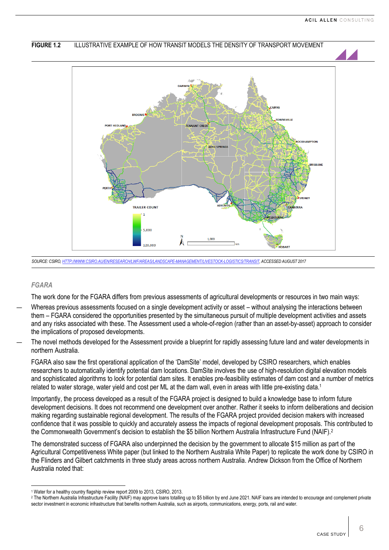

*SOURCE: CSIRO[, HTTP://WWW.CSIRO.AU/EN/RESEARCH/LWF/AREAS/LANDSCAPE-MANAGEMENT/LIVESTOCK-LOGISTICS/TRANSIT,](http://www.csiro.au/en/Research/LWF/Areas/Landscape-management/Livestock-logistics/TRANSIT) ACCESSED AUGUST 2017*

#### *FGARA*

 $\overline{\phantom{0}}$ 

The work done for the FGARA differs from previous assessments of agricultural developments or resources in two main ways:

- Whereas previous assessments focused on a single development activity or asset without analysing the interactions between them – FGARA considered the opportunities presented by the simultaneous pursuit of multiple development activities and assets and any risks associated with these. The Assessment used a whole-of-region (rather than an asset-by-asset) approach to consider the implications of proposed developments.
- The novel methods developed for the Assessment provide a blueprint for rapidly assessing future land and water developments in northern Australia.

FGARA also saw the first operational application of the 'DamSite' model, developed by CSIRO researchers, which enables researchers to automatically identify potential dam locations. DamSite involves the use of high-resolution digital elevation models and sophisticated algorithms to look for potential dam sites. It enables pre-feasibility estimates of dam cost and a number of metrics related to water storage, water yield and cost per ML at the dam wall, even in areas with little pre-existing data.<sup>1</sup>

Importantly, the process developed as a result of the FGARA project is designed to build a knowledge base to inform future development decisions. It does not recommend one development over another. Rather it seeks to inform deliberations and decision making regarding sustainable regional development. The results of the FGARA project provided decision makers with increased confidence that it was possible to quickly and accurately assess the impacts of regional development proposals. This contributed to the Commonwealth Government's decision to establish the \$5 billion Northern Australia Infrastructure Fund (NAIF).<sup>2</sup>

The demonstrated success of FGARA also underpinned the decision by the government to allocate \$15 million as part of the Agricultural Competitiveness White paper (but linked to the Northern Australia White Paper) to replicate the work done by CSIRO in the Flinders and Gilbert catchments in three study areas across northern Australia. Andrew Dickson from the Office of Northern Australia noted that:

<sup>1</sup> Water for a healthy country flagship review report 2009 to 2013, CSIRO, 2013.

<sup>2</sup> The Northern Australia Infrastructure Facility (NAIF) may approve loans totalling up to \$5 billion by end June 2021. NAIF loans are intended to encourage and complement private sector investment in economic infrastructure that benefits northern Australia, such as airports, communications, energy, ports, rail and water.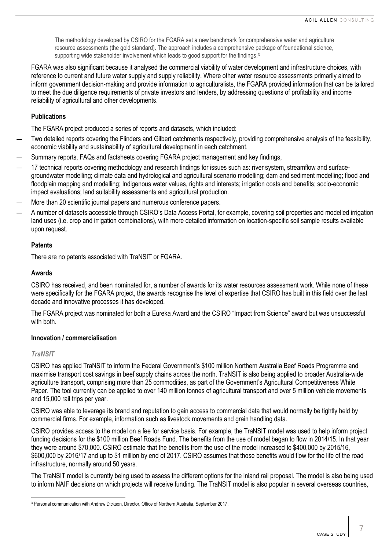The methodology developed by CSIRO for the FGARA set a new benchmark for comprehensive water and agriculture resource assessments (the gold standard). The approach includes a comprehensive package of foundational science, supporting wide stakeholder involvement which leads to good support for the findings.<sup>3</sup>

FGARA was also significant because it analysed the commercial viability of water development and infrastructure choices, with reference to current and future water supply and supply reliability. Where other water resource assessments primarily aimed to inform government decision-making and provide information to agriculturalists, the FGARA provided information that can be tailored to meet the due diligence requirements of private investors and lenders, by addressing questions of profitability and income reliability of agricultural and other developments.

# **Publications**

The FGARA project produced a series of reports and datasets, which included:

- Two detailed reports covering the Flinders and Gilbert catchments respectively, providing comprehensive analysis of the feasibility, economic viability and sustainability of agricultural development in each catchment.
- Summary reports, FAQs and factsheets covering FGARA project management and key findings,
- 17 technical reports covering methodology and research findings for issues such as: river system, streamflow and surfacegroundwater modelling; climate data and hydrological and agricultural scenario modelling; dam and sediment modelling; flood and floodplain mapping and modelling; Indigenous water values, rights and interests; irrigation costs and benefits; socio-economic impact evaluations; land suitability assessments and agricultural production.
- More than 20 scientific journal papers and numerous conference papers.
- A number of datasets accessible through CSIRO's Data Access Portal, for example, covering soil properties and modelled irrigation land uses (i.e. crop and irrigation combinations), with more detailed information on location-specific soil sample results available upon request.

#### **Patents**

There are no patents associated with TraNSIT or FGARA.

#### **Awards**

CSIRO has received, and been nominated for, a number of awards for its water resources assessment work. While none of these were specifically for the FGARA project, the awards recognise the level of expertise that CSIRO has built in this field over the last decade and innovative processes it has developed.

The FGARA project was nominated for both a Eureka Award and the CSIRO "Impact from Science" award but was unsuccessful with both

#### **Innovation / commercialisation**

#### *TraNSIT*

CSIRO has applied TraNSIT to inform the Federal Government's \$100 million Northern Australia Beef Roads Programme and maximise transport cost savings in beef supply chains across the north. TraNSIT is also being applied to broader Australia-wide agriculture transport, comprising more than 25 commodities, as part of the Government's Agricultural Competitiveness White Paper. The tool currently can be applied to over 140 million tonnes of agricultural transport and over 5 million vehicle movements and 15,000 rail trips per year.

CSIRO was able to leverage its brand and reputation to gain access to commercial data that would normally be tightly held by commercial firms. For example, information such as livestock movements and grain handling data.

CSIRO provides access to the model on a fee for service basis. For example, the TraNSIT model was used to help inform project funding decisions for the \$100 million Beef Roads Fund. The benefits from the use of model began to flow in 2014/15. In that year they were around \$70,000. CSIRO estimate that the benefits from the use of the model increased to \$400,000 by 2015/16, \$600,000 by 2016/17 and up to \$1 million by end of 2017. CSIRO assumes that those benefits would flow for the life of the road infrastructure, normally around 50 years.

The TraNSIT model is currently being used to assess the different options for the inland rail proposal. The model is also being used to inform NAIF decisions on which projects will receive funding. The TraNSIT model is also popular in several overseas countries,

 $\overline{\phantom{0}}$ <sup>3</sup> Personal communication with Andrew Dickson, Director, Office of Northern Australia, September 2017.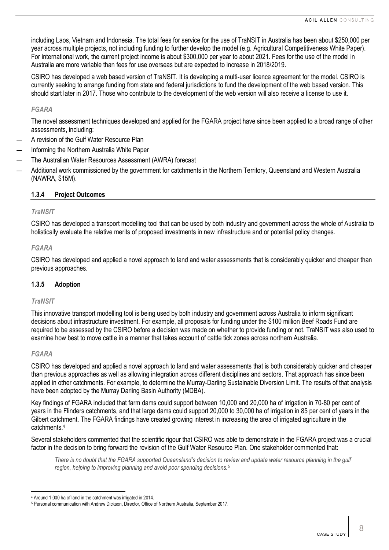including Laos, Vietnam and Indonesia. The total fees for service for the use of TraNSIT in Australia has been about \$250,000 per year across multiple projects, not including funding to further develop the model (e.g. Agricultural Competitiveness White Paper). For international work, the current project income is about \$300,000 per year to about 2021. Fees for the use of the model in Australia are more variable than fees for use overseas but are expected to increase in 2018/2019.

CSIRO has developed a web based version of TraNSIT. It is developing a multi-user licence agreement for the model. CSIRO is currently seeking to arrange funding from state and federal jurisdictions to fund the development of the web based version. This should start later in 2017. Those who contribute to the development of the web version will also receive a license to use it.

## *FGARA*

The novel assessment techniques developed and applied for the FGARA project have since been applied to a broad range of other assessments, including:

- A revision of the Gulf Water Resource Plan
- Informing the Northern Australia White Paper
- The Australian Water Resources Assessment (AWRA) forecast
- Additional work commissioned by the government for catchments in the Northern Territory, Queensland and Western Australia (NAWRA, \$15M).

## **1.3.4 Project Outcomes**

#### *TraNSIT*

CSIRO has developed a transport modelling tool that can be used by both industry and government across the whole of Australia to holistically evaluate the relative merits of proposed investments in new infrastructure and or potential policy changes.

## *FGARA*

CSIRO has developed and applied a novel approach to land and water assessments that is considerably quicker and cheaper than previous approaches.

#### **1.3.5 Adoption**

#### *TraNSIT*

This innovative transport modelling tool is being used by both industry and government across Australia to inform significant decisions about infrastructure investment. For example, all proposals for funding under the \$100 million Beef Roads Fund are required to be assessed by the CSIRO before a decision was made on whether to provide funding or not. TraNSIT was also used to examine how best to move cattle in a manner that takes account of cattle tick zones across northern Australia.

#### *FGARA*

CSIRO has developed and applied a novel approach to land and water assessments that is both considerably quicker and cheaper than previous approaches as well as allowing integration across different disciplines and sectors. That approach has since been applied in other catchments. For example, to determine the Murray-Darling Sustainable Diversion Limit. The results of that analysis have been adopted by the Murray Darling Basin Authority (MDBA).

Key findings of FGARA included that farm dams could support between 10,000 and 20,000 ha of irrigation in 70-80 per cent of years in the Flinders catchments, and that large dams could support 20,000 to 30,000 ha of irrigation in 85 per cent of years in the Gilbert catchment. The FGARA findings have created growing interest in increasing the area of irrigated agriculture in the catchments. 4

Several stakeholders commented that the scientific rigour that CSIRO was able to demonstrate in the FGARA project was a crucial factor in the decision to bring forward the revision of the Gulf Water Resource Plan. One stakeholder commented that:

*There is no doubt that the FGARA supported Queensland's decision to review and update water resource planning in the gulf region, helping to improving planning and avoid poor spending decisions.<sup>5</sup>*

l <sup>4</sup> Around 1,000 ha of land in the catchment was irrigated in 2014.

<sup>5</sup> Personal communication with Andrew Dickson, Director, Office of Northern Australia, September 2017.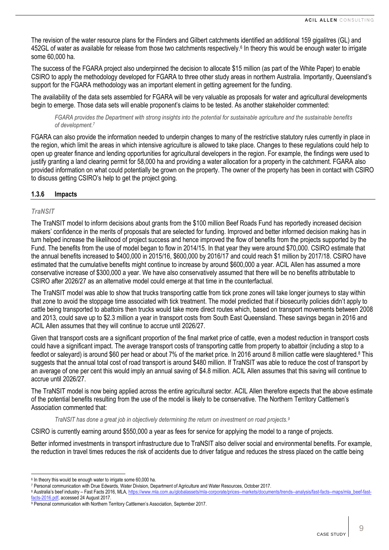The revision of the water resource plans for the Flinders and Gilbert catchments identified an additional 159 gigalitres (GL) and 452GL of water as available for release from those two catchments respectively.<sup>6</sup> In theory this would be enough water to irrigate some 60,000 ha.

The success of the FGARA project also underpinned the decision to allocate \$15 million (as part of the White Paper) to enable CSIRO to apply the methodology developed for FGARA to three other study areas in northern Australia. Importantly, Queensland's support for the FGARA methodology was an important element in getting agreement for the funding.

The availability of the data sets assembled for FGARA will be very valuable as proposals for water and agricultural developments begin to emerge. Those data sets will enable proponent's claims to be tested. As another stakeholder commented:

*FGARA provides the Department with strong insights into the potential for sustainable agriculture and the sustainable benefits of development.<sup>7</sup>*

FGARA can also provide the information needed to underpin changes to many of the restrictive statutory rules currently in place in the region, which limit the areas in which intensive agriculture is allowed to take place. Changes to these regulations could help to open up greater finance and lending opportunities for agricultural developers in the region. For example, the findings were used to justify granting a land clearing permit for 58,000 ha and providing a water allocation for a property in the catchment. FGARA also provided information on what could potentially be grown on the property. The owner of the property has been in contact with CSIRO to discuss getting CSIRO's help to get the project going.

#### <span id="page-8-0"></span>**1.3.6 Impacts**

#### *TraNSIT*

The TraNSIT model to inform decisions about grants from the \$100 million Beef Roads Fund has reportedly increased decision makers' confidence in the merits of proposals that are selected for funding. Improved and better informed decision making has in turn helped increase the likelihood of project success and hence improved the flow of benefits from the projects supported by the Fund. The benefits from the use of model began to flow in 2014/15. In that year they were around \$70,000. CSIRO estimate that the annual benefits increased to \$400,000 in 2015/16, \$600,000 by 2016/17 and could reach \$1 million by 2017/18. CSIRO have estimated that the cumulative benefits might continue to increase by around \$600,000 a year. ACIL Allen has assumed a more conservative increase of \$300,000 a year. We have also conservatively assumed that there will be no benefits attributable to CSIRO after 2026/27 as an alternative model could emerge at that time in the counterfactual.

The TraNSIT model was able to show that trucks transporting cattle from tick prone zones will take longer journeys to stay within that zone to avoid the stoppage time associated with tick treatment. The model predicted that if biosecurity policies didn't apply to cattle being transported to abattoirs then trucks would take more direct routes which, based on transport movements between 2008 and 2013, could save up to \$2.3 million a year in transport costs from South East Queensland. These savings began in 2016 and ACIL Allen assumes that they will continue to accrue until 2026/27.

Given that transport costs are a significant proportion of the final market price of cattle, even a modest reduction in transport costs could have a significant impact. The average transport costs of transporting cattle from property to abattoir (including a stop to a feedlot or saleyard) is around \$60 per head or about 7% of the market price. In 2016 around 8 million cattle were slaughtered.<sup>8</sup> This suggests that the annual total cost of road transport is around \$480 million. If TraNSIT was able to reduce the cost of transport by an average of one per cent this would imply an annual saving of \$4.8 million. ACIL Allen assumes that this saving will continue to accrue until 2026/27.

The TraNSIT model is now being applied across the entire agricultural sector. ACIL Allen therefore expects that the above estimate of the potential benefits resulting from the use of the model is likely to be conservative. The Northern Territory Cattlemen's Association commented that:

*TraNSIT has done a great job in objectively determining the return on investment on road projects.<sup>9</sup>*

CSIRO is currently earning around \$550,000 a year as fees for service for applying the model to a range of projects.

Better informed investments in transport infrastructure due to TraNSIT also deliver social and environmental benefits. For example, the reduction in travel times reduces the risk of accidents due to driver fatigue and reduces the stress placed on the cattle being

 $\overline{\phantom{0}}$ 

<sup>&</sup>lt;sup>6</sup> In theory this would be enough water to irrigate some 60,000 ha.

<sup>7</sup> Personal communication with Drue Edwards, Water Division, Department of Agriculture and Water Resources, October 2017.

<sup>8</sup> Australia's beef industry – Fast Facts 2016, MLA, https://www.mla.com.au/globalassets/mla-corporate/prices--markets/documents/trends--analysis/fast-facts--maps/mla\_beef-fast [facts-2016.pdf,](https://www.mla.com.au/globalassets/mla-corporate/prices--markets/documents/trends--analysis/fast-facts--maps/mla_beef-fast-facts-2016.pdf) accessed 24 August 2017.

<sup>9</sup> Personal communication with Northern Territory Cattlemen's Association, September 2017.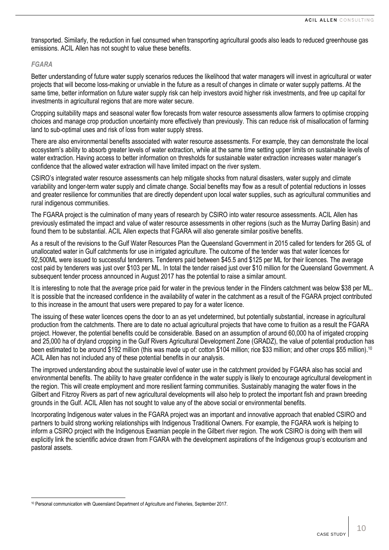transported. Similarly, the reduction in fuel consumed when transporting agricultural goods also leads to reduced greenhouse gas emissions. ACIL Allen has not sought to value these benefits.

#### *FGARA*

 $\overline{\phantom{0}}$ 

Better understanding of future water supply scenarios reduces the likelihood that water managers will invest in agricultural or water projects that will become loss-making or unviable in the future as a result of changes in climate or water supply patterns. At the same time, better information on future water supply risk can help investors avoid higher risk investments, and free up capital for investments in agricultural regions that are more water secure.

Cropping suitability maps and seasonal water flow forecasts from water resource assessments allow farmers to optimise cropping choices and manage crop production uncertainty more effectively than previously. This can reduce risk of misallocation of farming land to sub-optimal uses and risk of loss from water supply stress.

There are also environmental benefits associated with water resource assessments. For example, they can demonstrate the local ecosystem's ability to absorb greater levels of water extraction, while at the same time setting upper limits on sustainable levels of water extraction. Having access to better information on thresholds for sustainable water extraction increases water manager's confidence that the allowed water extraction will have limited impact on the river system.

CSIRO's integrated water resource assessments can help mitigate shocks from natural disasters, water supply and climate variability and longer-term water supply and climate change. Social benefits may flow as a result of potential reductions in losses and greater resilience for communities that are directly dependent upon local water supplies, such as agricultural communities and rural indigenous communities.

The FGARA project is the culmination of many years of research by CSIRO into water resource assessments. ACIL Allen has previously estimated the impact and value of water resource assessments in other regions (such as the Murray Darling Basin) and found them to be substantial. ACIL Allen expects that FGARA will also generate similar positive benefits.

As a result of the revisions to the Gulf Water Resources Plan the Queensland Government in 2015 called for tenders for 265 GL of unallocated water in Gulf catchments for use in irrigated agriculture. The outcome of the tender was that water licences for 92,500ML were issued to successful tenderers. Tenderers paid between \$45.5 and \$125 per ML for their licences. The average cost paid by tenderers was just over \$103 per ML. In total the tender raised just over \$10 million for the Queensland Government. A subsequent tender process announced in August 2017 has the potential to raise a similar amount.

It is interesting to note that the average price paid for water in the previous tender in the Flinders catchment was below \$38 per ML. It is possible that the increased confidence in the availability of water in the catchment as a result of the FGARA project contributed to this increase in the amount that users were prepared to pay for a water licence.

The issuing of these water licences opens the door to an as yet undetermined, but potentially substantial, increase in agricultural production from the catchments. There are to date no actual agricultural projects that have come to fruition as a result the FGARA project. However, the potential benefits could be considerable. Based on an assumption of around 60,000 ha of irrigated cropping and 25,000 ha of dryland cropping in the Gulf Rivers Agricultural Development Zone (GRADZ), the value of potential production has been estimated to be around \$192 million (this was made up of: cotton \$104 million; rice \$33 million; and other crops \$55 million).<sup>10</sup> ACIL Allen has not included any of these potential benefits in our analysis.

The improved understanding about the sustainable level of water use in the catchment provided by FGARA also has social and environmental benefits. The ability to have greater confidence in the water supply is likely to encourage agricultural development in the region. This will create employment and more resilient farming communities. Sustainably managing the water flows in the Gilbert and Fitzroy Rivers as part of new agricultural developments will also help to protect the important fish and prawn breeding grounds in the Gulf. ACIL Allen has not sought to value any of the above social or environmental benefits.

Incorporating Indigenous water values in the FGARA project was an important and innovative approach that enabled CSIRO and partners to build strong working relationships with Indigenous Traditional Owners. For example, the FGARA work is helping to inform a CSIRO project with the Indigenous Ewamian people in the Gilbert river region. The work CSIRO is doing with them will explicitly link the scientific advice drawn from FGARA with the development aspirations of the Indigenous group's ecotourism and pastoral assets.

<sup>10</sup> Personal communication with Queensland Department of Agriculture and Fisheries, September 2017.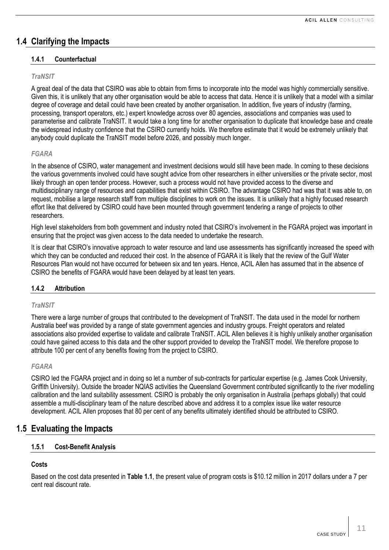# **1.4 Clarifying the Impacts**

# **1.4.1 Counterfactual**

# *TraNSIT*

A great deal of the data that CSIRO was able to obtain from firms to incorporate into the model was highly commercially sensitive. Given this, it is unlikely that any other organisation would be able to access that data. Hence it is unlikely that a model with a similar degree of coverage and detail could have been created by another organisation. In addition, five years of industry (farming, processing, transport operators, etc.) expert knowledge across over 80 agencies, associations and companies was used to parameterise and calibrate TraNSIT. It would take a long time for another organisation to duplicate that knowledge base and create the widespread industry confidence that the CSIRO currently holds. We therefore estimate that it would be extremely unlikely that anybody could duplicate the TraNSIT model before 2026, and possibly much longer.

# *FGARA*

In the absence of CSIRO, water management and investment decisions would still have been made. In coming to these decisions the various governments involved could have sought advice from other researchers in either universities or the private sector, most likely through an open tender process. However, such a process would not have provided access to the diverse and multidisciplinary range of resources and capabilities that exist within CSIRO. The advantage CSIRO had was that it was able to, on request, mobilise a large research staff from multiple disciplines to work on the issues. It is unlikely that a highly focused research effort like that delivered by CSIRO could have been mounted through government tendering a range of projects to other researchers.

High level stakeholders from both government and industry noted that CSIRO's involvement in the FGARA project was important in ensuring that the project was given access to the data needed to undertake the research.

It is clear that CSIRO's innovative approach to water resource and land use assessments has significantly increased the speed with which they can be conducted and reduced their cost. In the absence of FGARA it is likely that the review of the Gulf Water Resources Plan would not have occurred for between six and ten years. Hence, ACIL Allen has assumed that in the absence of CSIRO the benefits of FGARA would have been delayed by at least ten years.

# **1.4.2 Attribution**

#### *TraNSIT*

There were a large number of groups that contributed to the development of TraNSIT. The data used in the model for northern Australia beef was provided by a range of state government agencies and industry groups. Freight operators and related associations also provided expertise to validate and calibrate TraNSIT. ACIL Allen believes it is highly unlikely another organisation could have gained access to this data and the other support provided to develop the TraNSIT model. We therefore propose to attribute 100 per cent of any benefits flowing from the project to CSIRO.

#### *FGARA*

CSIRO led the FGARA project and in doing so let a number of sub-contracts for particular expertise (e.g. James Cook University, Griffith University). Outside the broader NQIAS activities the Queensland Government contributed significantly to the river modelling calibration and the land suitability assessment. CSIRO is probably the only organisation in Australia (perhaps globally) that could assemble a multi-disciplinary team of the nature described above and address it to a complex issue like water resource development. ACIL Allen proposes that 80 per cent of any benefits ultimately identified should be attributed to CSIRO.

# **1.5 Evaluating the Impacts**

# **1.5.1 Cost-Benefit Analysis**

# **Costs**

Based on the cost data presented in **[Table](#page-3-0) 1.1**, the present value of program costs is \$10.12 million in 2017 dollars under a 7 per cent real discount rate.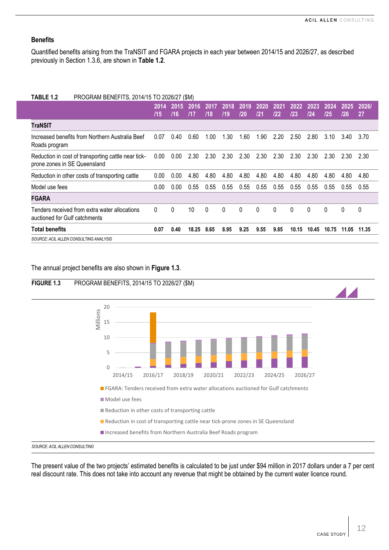# **Benefits**

Quantified benefits arising from the TraNSIT and FGARA projects in each year between 2014/15 and 2026/27, as described previously in Section [1.3.6,](#page-8-0) are shown in **[Table](#page-11-0) 1.2**.

<span id="page-11-0"></span>

| TABLE 1.2<br>PROGRAM BENEFITS, 2014/15 TO 2026/27 (\$M)                             |             |              |             |             |             |             |             |             |             |             |             |             |             |
|-------------------------------------------------------------------------------------|-------------|--------------|-------------|-------------|-------------|-------------|-------------|-------------|-------------|-------------|-------------|-------------|-------------|
|                                                                                     | 2014<br>/15 | 2015'<br>/16 | 2016<br>117 | 2017<br>/18 | 2018<br>/19 | 2019<br>120 | 2020<br>/21 | 2021<br>122 | 2022<br>123 | 2023<br>/24 | 2024<br>/25 | 2025<br>/26 | 2026/<br>27 |
| TraNSIT                                                                             |             |              |             |             |             |             |             |             |             |             |             |             |             |
| Increased benefits from Northern Australia Beef<br>Roads program                    | 0.07        | 0.40         | 0.60        | 1.00        | 1.30        | 1.60        | 1.90        | 2.20        | 2.50        | 2.80        | 3.10        | 3.40        | 3.70        |
| Reduction in cost of transporting cattle near tick-<br>prone zones in SE Queensland | 0.00        | 0.00         | 2.30        | 2.30        | 2.30        | 2.30        | 2.30        | 2.30        | 2.30        | 2.30        | 2.30        | 2.30        | 2.30        |
| Reduction in other costs of transporting cattle                                     | 0.00        | 0.00         | 4.80        | 4.80        | 4.80        | 4.80        | 4.80        | 4.80        | 4.80        | 4.80        | 4.80        | 4.80        | 4.80        |
| Model use fees                                                                      | 0.00        | 0.00         | 0.55        | 0.55        | 0.55        | 0.55        | 0.55        | 0.55        | 0.55        | 0.55        | 0.55        | 0.55        | 0.55        |
| <b>FGARA</b>                                                                        |             |              |             |             |             |             |             |             |             |             |             |             |             |
| Tenders received from extra water allocations<br>auctioned for Gulf catchments      | 0           | $\mathbf{0}$ | 10          | $\Omega$    | 0           | 0           | $\Omega$    | 0           | 0           | $\Omega$    | 0           | $\Omega$    | 0           |
| <b>Total benefits</b>                                                               | 0.07        | 0.40         | 18.25       | 8.65        | 8.95        | 9.25        | 9.55        | 9.85        | 10.15       | 10.45       | 10.75       | 11.05       | 11.35       |
| SOURCE: ACIL ALLEN CONSULTING ANALYSIS                                              |             |              |             |             |             |             |             |             |             |             |             |             |             |
|                                                                                     |             |              |             |             |             |             |             |             |             |             |             |             |             |

The annual project benefits are also shown in **[Figure](#page-11-1) 1.3**.

<span id="page-11-1"></span>

The present value of the two projects' estimated benefits is calculated to be just under \$94 million in 2017 dollars under a 7 per cent real discount rate. This does not take into account any revenue that might be obtained by the current water licence round.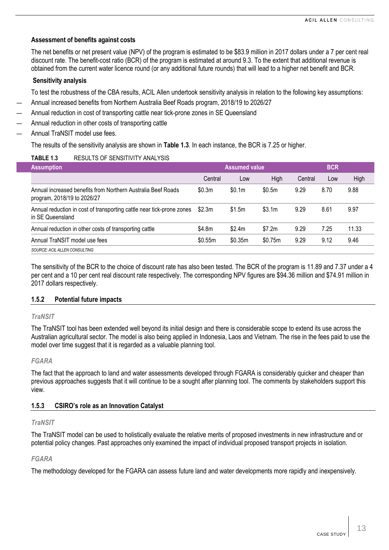#### **Assessment of benefits against costs**

The net benefits or net present value (NPV) of the program is estimated to be \$83.9 million in 2017 dollars under a 7 per cent real discount rate. The benefit-cost ratio (BCR) of the program is estimated at around 9.3. To the extent that additional revenue is obtained from the current water licence round (or any additional future rounds) that will lead to a higher net benefit and BCR.

#### **Sensitivity analysis**

To test the robustness of the CBA results, ACIL Allen undertook sensitivity analysis in relation to the following key assumptions:

- Annual increased benefits from Northern Australia Beef Roads program, 2018/19 to 2026/27
- Annual reduction in cost of transporting cattle near tick-prone zones in SE Queensland
- Annual reduction in other costs of transporting cattle
- Annual TraNSIT model use fees.

The results of the sensitivity analysis are shown in **[Table](#page-12-0) 1.3**. In each instance, the BCR is 7.25 or higher.

## <span id="page-12-0"></span>**TABLE 1.3** RESULTS OF SENSITIVITY ANALYSIS

| <b>Assumption</b>                                                                           |         | <b>Assumed value</b> |         | <b>BCR</b> |      |       |  |
|---------------------------------------------------------------------------------------------|---------|----------------------|---------|------------|------|-------|--|
|                                                                                             | Central | Low                  | High    | Central    | Low  | High  |  |
| Annual increased benefits from Northern Australia Beef Roads<br>program, 2018/19 to 2026/27 | \$0.3m  | \$0.1m               | \$0.5m  | 9.29       | 8.70 | 9.88  |  |
| Annual reduction in cost of transporting cattle near tick-prone zones<br>in SE Queensland   | \$2.3m  | \$1.5m               | \$3.1m  | 9.29       | 8.61 | 9.97  |  |
| Annual reduction in other costs of transporting cattle                                      | \$4.8m  | \$2.4m               | \$7.2m  | 9.29       | 7.25 | 11.33 |  |
| Annual TraNSIT model use fees                                                               | \$0.55m | \$0.35m              | \$0.75m | 9.29       | 9.12 | 9.46  |  |
| SOURCE: ACIL ALLEN CONSULTING                                                               |         |                      |         |            |      |       |  |

The sensitivity of the BCR to the choice of discount rate has also been tested. The BCR of the program is 11.89 and 7.37 under a 4 per cent and a 10 per cent real discount rate respectively. The corresponding NPV figures are \$94.36 million and \$74.91 million in 2017 dollars respectively.

#### **1.5.2 Potential future impacts**

#### *TraNSIT*

The TraNSIT tool has been extended well beyond its initial design and there is considerable scope to extend its use across the Australian agricultural sector. The model is also being applied in Indonesia, Laos and Vietnam. The rise in the fees paid to use the model over time suggest that it is regarded as a valuable planning tool.

#### *FGARA*

The fact that the approach to land and water assessments developed through FGARA is considerably quicker and cheaper than previous approaches suggests that it will continue to be a sought after planning tool. The comments by stakeholders support this view.

#### **1.5.3 CSIRO's role as an Innovation Catalyst**

#### *TraNSIT*

The TraNSIT model can be used to holistically evaluate the relative merits of proposed investments in new infrastructure and or potential policy changes. Past approaches only examined the impact of individual proposed transport projects in isolation.

#### *FGARA*

The methodology developed for the FGARA can assess future land and water developments more rapidly and inexpensively.